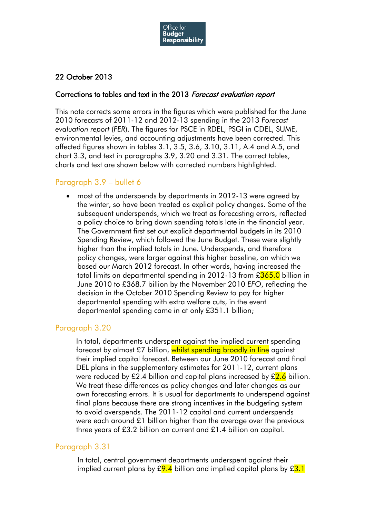

# 22 October 2013

#### Corrections to tables and text in the 2013 Forecast evaluation report

This note corrects some errors in the figures which were published for the June 2010 forecasts of 2011-12 and 2012-13 spending in the 2013 *Forecast evaluation report* (*FER*). The figures for PSCE in RDEL, PSGI in CDEL, SUME, environmental levies, and accounting adjustments have been corrected. This affected figures shown in tables 3.1, 3.5, 3.6, 3.10, 3.11, A.4 and A.5, and chart 3.3, and text in paragraphs 3.9, 3.20 and 3.31. The correct tables, charts and text are shown below with corrected numbers highlighted.

# Paragraph 3.9 – bullet 6

• most of the underspends by departments in 2012-13 were agreed by the winter, so have been treated as explicit policy changes. Some of the subsequent underspends, which we treat as forecasting errors, reflected a policy choice to bring down spending totals late in the financial year. The Government first set out explicit departmental budgets in its 2010 Spending Review, which followed the June Budget. These were slightly higher than the implied totals in June. Underspends, and therefore policy changes, were larger against this higher baseline, on which we based our March 2012 forecast. In other words, having increased the total limits on departmental spending in 2012-13 from £365.0 billion in June 2010 to £368.7 billion by the November 2010 *EFO*, reflecting the decision in the October 2010 Spending Review to pay for higher departmental spending with extra welfare cuts, in the event departmental spending came in at only £351.1 billion;

### Paragraph 3.20

In total, departments underspent against the implied current spending forecast by almost £7 billion, whilst spending broadly in line against their implied capital forecast. Between our June 2010 forecast and final DEL plans in the supplementary estimates for 2011-12, current plans were reduced by £2.4 billion and capital plans increased by  $\frac{2.6}{2.6}$  billion. We treat these differences as policy changes and later changes as our own forecasting errors. It is usual for departments to underspend against final plans because there are strong incentives in the budgeting system to avoid overspends. The 2011-12 capital and current underspends were each around £1 billion higher than the average over the previous three years of £3.2 billion on current and £1.4 billion on capital.

### Paragraph 3.31

In total, central government departments underspent against their implied current plans by  $\frac{69.4}{100}$  billion and implied capital plans by  $\frac{63.1}{100}$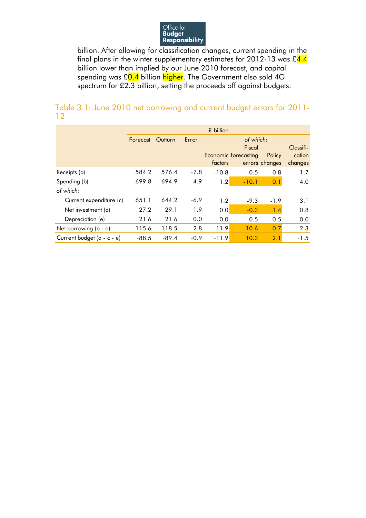

billion. After allowing for classification changes, current spending in the final plans in the winter supplementary estimates for 2012-13 was  $\text{\pounds}4.4$ billion lower than implied by our June 2010 forecast, and capital spending was £0.4 billion higher. The Government also sold 4G spectrum for £2.3 billion, setting the proceeds off against budgets.

### Table 3.1: June 2010 net borrowing and current budget errors for 2011- 12

|                            | £ billion |         |        |           |                      |                |           |  |  |  |  |
|----------------------------|-----------|---------|--------|-----------|----------------------|----------------|-----------|--|--|--|--|
|                            | Forecast  | Outturn | Error  | of which: |                      |                |           |  |  |  |  |
|                            |           |         |        |           | Fiscal               |                | Classifi- |  |  |  |  |
|                            |           |         |        |           | Economic forecasting | Policy         | cation    |  |  |  |  |
|                            |           |         |        | factors   |                      | errors changes | changes   |  |  |  |  |
| Receipts (a)               | 584.2     | 576.4   | $-7.8$ | $-10.8$   | 0.5                  | 0.8            | 1.7       |  |  |  |  |
| Spending (b)               | 699.8     | 694.9   | $-4.9$ | 1.2       | $-10.1$              | 0.1            | 4.0       |  |  |  |  |
| of which:                  |           |         |        |           |                      |                |           |  |  |  |  |
| Current expenditure (c)    | 651.1     | 644.2   | $-6.9$ | 1.2       | $-9.3$               | $-1.9$         | 3.1       |  |  |  |  |
| Net investment (d)         | 27.2      | 29.1    | 1.9    | 0.0       | $-0.3$               | 1.4            | 0.8       |  |  |  |  |
| Depreciation (e)           | 21.6      | 21.6    | 0.0    | 0.0       | $-0.5$               | 0.5            | 0.0       |  |  |  |  |
| Net borrowing (b - a)      | 115.6     | 118.5   | 2.8    | 11.9      | $-10.6$              | $-0.7$         | 2.3       |  |  |  |  |
| Current budget (a - c - e) | $-88.5$   | $-89.4$ | $-0.9$ | $-11.9$   | 10.3                 | 2.1            | $-1.5$    |  |  |  |  |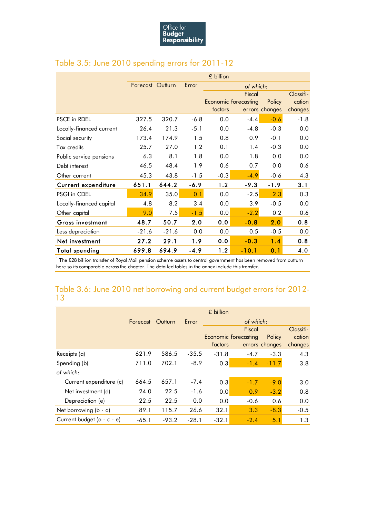

|                          | £ billion        |         |        |         |                             |                |           |  |  |  |
|--------------------------|------------------|---------|--------|---------|-----------------------------|----------------|-----------|--|--|--|
|                          | Forecast Outturn |         | Error  |         |                             |                |           |  |  |  |
|                          |                  |         |        |         | Fiscal                      |                | Classifi- |  |  |  |
|                          |                  |         |        |         | <b>Economic forecasting</b> | Policy         | cation    |  |  |  |
|                          |                  |         |        | factors |                             | errors changes | changes   |  |  |  |
| <b>PSCE in RDEL</b>      | 327.5            | 320.7   | $-6.8$ | 0.0     | $-4.4$                      | $-0.6$         | $-1.8$    |  |  |  |
| Locally-financed current | 26.4             | 21.3    | $-5.1$ | 0.0     | $-4.8$                      | $-0.3$         | 0.0       |  |  |  |
| Social security          | 173.4            | 174.9   | 1.5    | 0.8     | 0.9                         | $-0.1$         | 0.0       |  |  |  |
| Tax credits              | 25.7             | 27.0    | 1.2    | 0.1     | 1.4                         | $-0.3$         | 0.0       |  |  |  |
| Public service pensions  | 6.3              | 8.1     | 1.8    | 0.0     | 1.8                         | 0.0            | 0.0       |  |  |  |
| Debt interest            | 46.5             | 48.4    | 1.9    | 0.6     | 0.7                         | 0.0            | 0.6       |  |  |  |
| Other current            | 45.3             | 43.8    | $-1.5$ | $-0.3$  | $-4.9$                      | $-0.6$         | 4.3       |  |  |  |
| Current expenditure      | 651.1            | 644.2   | $-6.9$ | 1.2     | $-9.3$                      | $-1.9$         | 3.1       |  |  |  |
| PSGI in CDEL             | 34.9             | 35.0    | 0.1    | 0.0     | $-2.5$                      | 2.3            | 0.3       |  |  |  |
| Locally-financed capital | 4.8              | 8.2     | 3.4    | 0.0     | 3.9                         | $-0.5$         | 0.0       |  |  |  |
| Other capital            | 9.0              | 7.5     | $-1.5$ | 0.0     | $-2.2$                      | 0.2            | 0.6       |  |  |  |
| Gross investment         | 48.7             | 50.7    | 2.0    | 0.0     | $-0.8$                      | 2.0            | 0.8       |  |  |  |
| Less depreciation        | $-21.6$          | $-21.6$ | 0.0    | 0.0     | 0.5                         | $-0.5$         | 0.0       |  |  |  |
| Net investment           | 27.2             | 29.1    | 1.9    | 0.0     | $-0.3$                      | 1.4            | 0.8       |  |  |  |
| <b>Total spending</b>    | 699.8            | 694.9   | $-4.9$ | 1.2     | $-10.1$                     | 0.1            | 4.0       |  |  |  |

# Table 3.5: June 2010 spending errors for 2011-12

<sup>1</sup> The £28 billion transfer of Royal Mail pension scheme assets to central government has been removed from outturn here so its comparable across the chapter. The detailed tables in the annex include this transfer.

# Table 3.6: June 2010 net borrowing and current budget errors for 2012- 13

|                            | £ billion        |         |         |           |                             |                |           |  |  |  |
|----------------------------|------------------|---------|---------|-----------|-----------------------------|----------------|-----------|--|--|--|
|                            | Forecast Outturn |         | Error   | of which: |                             |                |           |  |  |  |
|                            |                  |         |         |           | Fiscal                      |                | Classifi- |  |  |  |
|                            |                  |         |         |           | <b>Economic forecasting</b> | Policy         | cation    |  |  |  |
|                            |                  |         |         | factors   |                             | errors changes | changes   |  |  |  |
| Receipts (a)               | 621.9            | 586.5   | $-35.5$ | $-31.8$   | $-4.7$                      | $-3.3$         | 4.3       |  |  |  |
| Spending (b)               | 711.0            | 702.1   | $-8.9$  | 0.3       | $-1.4$                      | $-11.7$        | 3.8       |  |  |  |
| of which:                  |                  |         |         |           |                             |                |           |  |  |  |
| Current expenditure (c)    | 664.5            | 657.1   | $-7.4$  | 0.3       | $-1.7$                      | $-9.0$         | 3.0       |  |  |  |
| Net investment (d)         | 24.0             | 22.5    | $-1.6$  | 0.0       | 0.9                         | $-3.2$         | 0.8       |  |  |  |
| Depreciation (e)           | 22.5             | 22.5    | 0.0     | 0.0       | $-0.6$                      | 0.6            | 0.0       |  |  |  |
| Net borrowing (b - a)      | 89.1             | 115.7   | 26.6    | 32.1      | 3.3                         | $-8.3$         | $-0.5$    |  |  |  |
| Current budget (a - c - e) | $-65.1$          | $-93.2$ | $-28.1$ | $-32.1$   | $-2.4$                      | 5.1            | 1.3       |  |  |  |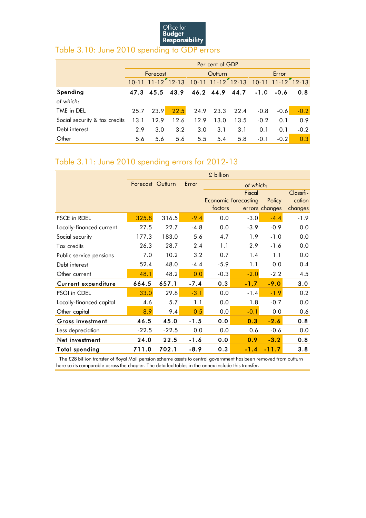

# Table 3.10: June 2010 spending to GDP errors

|                               | Per cent of GDP |           |                               |               |                 |      |        |                         |        |  |  |  |  |
|-------------------------------|-----------------|-----------|-------------------------------|---------------|-----------------|------|--------|-------------------------|--------|--|--|--|--|
|                               | Forecast        |           |                               |               | Outturn         |      | Error  |                         |        |  |  |  |  |
|                               |                 | $11 - 12$ | $12 - 13$                     |               | $11 - 12$ 12-13 |      |        | $10-11$ $11-12$ $12-13$ |        |  |  |  |  |
| Spending                      |                 |           | 47.3 45.5 43.9 46.2 44.9 44.7 |               |                 |      | $-1.0$ | $-0.6$                  | 0.8    |  |  |  |  |
| of which:                     |                 |           |                               |               |                 |      |        |                         |        |  |  |  |  |
| TME in DEL                    | 25.7            | 23.9      | 22.5                          |               | 24.9 23.3       | 22.4 | $-0.8$ | $-0.6$                  | $-0.2$ |  |  |  |  |
| Social security & tax credits | 13.1            | 12.9      | 12.6                          | 12.9          | 13.0            | 13.5 | $-0.2$ | 0.1                     | 0.9    |  |  |  |  |
| Debt interest                 | 2.9             | 3.0       | 3.2                           | 3.0           | 3.1             | 3.1  | 0.1    | 0.1                     | $-0.2$ |  |  |  |  |
| Other                         | 5.6             | 5.6       | 5.6                           | $5.5^{\circ}$ | 5.4             | 5.8  | $-0.1$ | $-0.2$                  | 0.3    |  |  |  |  |

# Table 3.11: June 2010 spending errors for 2012-13

|                          | £ billion        |         |        |         |                             |                |           |  |  |  |  |
|--------------------------|------------------|---------|--------|---------|-----------------------------|----------------|-----------|--|--|--|--|
|                          | Forecast Outturn |         | Error  |         |                             |                |           |  |  |  |  |
|                          |                  |         |        |         | Fiscal                      |                | Classifi- |  |  |  |  |
|                          |                  |         |        |         | <b>Economic forecasting</b> | Policy         | cation    |  |  |  |  |
|                          |                  |         |        | factors |                             | errors changes | changes   |  |  |  |  |
| PSCE in RDEL             | 325.8            | 316.5   | $-9.4$ | 0.0     | $-3.0$                      | $-4.4$         | $-1.9$    |  |  |  |  |
| Locally-financed current | 27.5             | 22.7    | $-4.8$ | 0.0     | $-3.9$                      | $-0.9$         | 0.0       |  |  |  |  |
| Social security          | 177.3            | 183.0   | 5.6    | 4.7     | 1.9                         | $-1.0$         | 0.0       |  |  |  |  |
| Tax credits              | 26.3             | 28.7    | 2.4    | 1.1     | 2.9                         | $-1.6$         | 0.0       |  |  |  |  |
| Public service pensions  | 7.0              | 10.2    | 3.2    | 0.7     | 1.4                         | 1.1            | 0.0       |  |  |  |  |
| Debt interest            | 52.4             | 48.0    | $-4.4$ | $-5.9$  | 1.1                         | 0.0            | 0.4       |  |  |  |  |
| Other current            | 48.1             | 48.2    | 0.0    | $-0.3$  | $-2.0$                      | $-2.2$         | 4.5       |  |  |  |  |
| Current expenditure      | 664.5            | 657.1   | $-7.4$ | 0.3     | $-1.7$                      | $-9.0$         | 3.0       |  |  |  |  |
| PSGI in CDEL             | 33.0             | 29.8    | $-3.1$ | 0.0     | $-1.4$                      | $-1.9$         | 0.2       |  |  |  |  |
| Locally-financed capital | 4.6              | 5.7     | 1.1    | 0.0     | 1.8                         | $-0.7$         | 0.0       |  |  |  |  |
| Other capital            | 8.9              | 9.4     | 0.5    | 0.0     | $-0.1$                      | 0.0            | 0.6       |  |  |  |  |
| <b>Gross investment</b>  | 46.5             | 45.0    | $-1.5$ | 0.0     | 0.3                         | $-2.6$         | 0.8       |  |  |  |  |
| Less depreciation        | $-22.5$          | $-22.5$ | 0.0    | 0.0     | 0.6                         | $-0.6$         | 0.0       |  |  |  |  |
| Net investment           | 24.0             | 22.5    | $-1.6$ | 0.0     | 0.9                         | $-3.2$         | 0.8       |  |  |  |  |
| Total spending           | 711.0            | 702.1   | $-8.9$ | 0.3     | $-1.4$                      | $-11.7$        | 3.8       |  |  |  |  |

<sup>1</sup> The £28 billion transfer of Royal Mail pension scheme assets to central government has been removed from outturn here so its comparable across the chapter. The detailed tables in the annex include this transfer.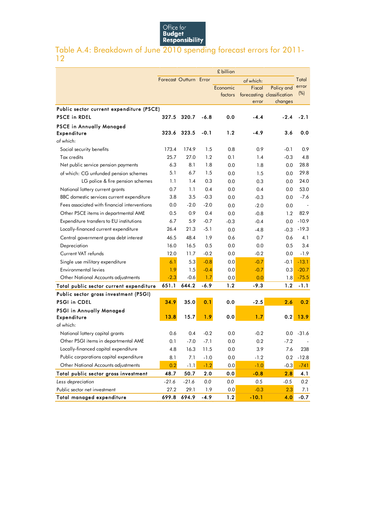

### Table A.4: Breakdown of June 2010 spending forecast errors for 2011- 12

|                                              | £ billion              |         |         |          |           |                            |         |
|----------------------------------------------|------------------------|---------|---------|----------|-----------|----------------------------|---------|
|                                              | Forecast Outturn Error |         |         |          | of which: |                            | Total   |
|                                              |                        |         |         | Economic | Fiscal    | Policy and                 | error   |
|                                              |                        |         |         | factors  |           | forecasting classification | (%)     |
|                                              |                        |         |         |          | error     | changes                    |         |
| Public sector current expenditure (PSCE)     |                        |         |         |          |           |                            |         |
| <b>PSCE in RDEL</b>                          | 327.5                  | 320.7   | -6.8    | 0.0      | -4.4      | $-2.4$                     | $-2.1$  |
| <b>PSCE in Annually Managed</b>              |                        |         |         |          |           |                            |         |
| <b>Expenditure</b>                           | 323.6                  | 323.5   | $-0.1$  | 1.2      | -4.9      | 3.6                        | 0.0     |
| of which:                                    |                        |         |         |          |           |                            |         |
| Social security benefits                     | 173.4                  | 174.9   | 1.5     | 0.8      | 0.9       | $-0.1$                     | 0.9     |
| Tax credits                                  | 25.7                   | 27.0    | 1.2     | 0.1      | 1.4       | $-0.3$                     | 4.8     |
| Net public service pension payments          | 6.3                    | 8.1     | 1.8     | 0.0      | 1.8       | 0.0                        | 28.8    |
| of which: CG unfunded pension schemes        | 5.1                    | 6.7     | 1.5     | 0.0      | 1.5       | 0.0                        | 29.8    |
| LG police & fire pension schemes             | 1.1                    | 1.4     | 0.3     | 0.0      | 0.3       | 0.0                        | 24.0    |
| National lottery current grants              | 0.7                    | 1.1     | 0.4     | 0.0      | 0.4       | 0.0                        | 53.0    |
| BBC domestic services current expenditure    | 3.8                    | 3.5     | $-0.3$  | 0.0      | $-0.3$    | 0.0                        | $-7.6$  |
| Fees associated with financial interventions | 0.0                    | $-2.0$  | $-2.0$  | 0.0      | $-2.0$    | 0.0                        |         |
| Other PSCE items in departmental AME         | 0.5                    | 0.9     | 0.4     | 0.0      | $-0.8$    | 1.2                        | 82.9    |
| Expenditure transfers to EU institutions     | 6.7                    | 5.9     | $-0.7$  | $-0.3$   | $-0.4$    | 0.0                        | $-10.9$ |
| Locally-financed current expenditure         | 26.4                   | 21.3    | $-5.1$  | 0.0      | $-4.8$    | $-0.3$                     | $-19.3$ |
| Central government gross debt interest       | 46.5                   | 48.4    | 1.9     | 0.6      | 0.7       | 0.6                        | 4.1     |
| Depreciation                                 | 16.0                   | 16.5    | 0.5     | 0.0      | 0.0       | 0.5                        | 3.4     |
| Current VAT refunds                          | 12.0                   | 11.7    | $-0.2$  | 0.0      | $-0.2$    | 0.0                        | $-1.9$  |
| Single use military expenditure              | 6.1                    | 5.3     | $-0.8$  | 0.0      | $-0.7$    | $-0.1$                     | $-13.1$ |
| <b>Environmental levies</b>                  | 1.9                    | 1.5     | $-0.4$  | 0.0      | $-0.7$    | 0.3                        | $-20.7$ |
| Other National Accounts adjustments          | $-2.3$                 | $-0.6$  | 1.7     | 0.0      | 0.0       | 1.8                        | $-75.5$ |
| Total public sector current expenditure      | 651.1                  | 644.2   | $-6.9$  | 1.2      | -9.3      | 1.2                        | $-1.1$  |
| Public sector gross investment (PSGI)        |                        |         |         |          |           |                            |         |
| <b>PSGI in CDEL</b>                          | 34.9                   | 35.0    | 0.1     | 0.0      | $-2.5$    | 2.6                        | 0.2     |
| PSGI in Annually Managed                     |                        |         |         |          |           |                            |         |
| Expenditure                                  | 13.8                   | 15.7    | 1.9     | 0.0      | 1.7       | 0.2                        | 13.9    |
| of which:                                    |                        |         |         |          |           |                            |         |
| National lottery capital grants              | 0.6                    | 0.4     | $-0.2$  | 0.0      | $-0.2$    | 0.0                        | $-31.6$ |
| Other PSGI items in departmental AME         | 0.1                    | -7.0    | $-7.1$  | 0.0      | 0.2       | $-7.2$                     |         |
| Locally-financed capital expenditure         | 4.8                    | 16.3    | 11.5    | 0.0      | 3.9       | 7.6                        | 238     |
| Public corporations capital expenditure      | 8.1                    | 7.1     | $-1.0$  | 0.0      | $-1.2$    | 0.2                        | $-12.8$ |
| Other National Accounts adjustments          | 0.2                    | $-1.1$  | $-1.2$  | 0.0      | $-1.0$    | $-0.3$                     | $-741$  |
| Total public sector gross investment         | 48.7                   | 50.7    | $2.0\,$ | 0.0      | $-0.8$    | 2.8                        | 4.1     |
| Less depreciation                            | $-21.6$                | $-21.6$ | 0.0     | 0.0      | 0.5       | $-0.5$                     | 0.2     |
| Public sector net investment                 | 27.2                   | 29.1    | 1.9     | 0.0      | $-0.3$    | 2.3                        | 7.1     |
| Total managed expenditure                    | 699.8                  | 694.9   | $-4.9$  | 1.2      | $-10.1$   | 4.0                        | $-0.7$  |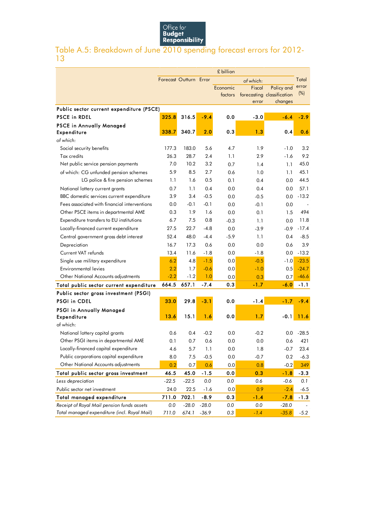

### Table A.5: Breakdown of June 2010 spending forecast errors for 2012- 13

|                                              | £ billion              |         |         |          |               |                            |         |
|----------------------------------------------|------------------------|---------|---------|----------|---------------|----------------------------|---------|
|                                              | Forecast Outturn Error |         |         |          | of which:     |                            | Total   |
|                                              |                        |         |         | Economic | <b>Fiscal</b> | Policy and                 | error   |
|                                              |                        |         |         | factors  |               | forecasting classification | (%)     |
|                                              |                        |         |         |          | error         | changes                    |         |
| Public sector current expenditure (PSCE)     |                        |         |         |          |               |                            |         |
| <b>PSCE in RDEL</b>                          | 325.8                  | 316.5   | $-9.4$  | 0.0      | $-3.0$        | $-6.4$                     | $-2.9$  |
| <b>PSCE in Annually Managed</b>              |                        |         |         |          |               |                            |         |
| Expenditure                                  | 338.7                  | 340.7   | 2.0     | 0.3      | 1.3           | 0.4                        | 0.6     |
| of which:                                    |                        |         |         |          |               |                            |         |
| Social security benefits                     | 177.3                  | 183.0   | 5.6     | 4.7      | 1.9           | $-1.0$                     | 3.2     |
| <b>Tax credits</b>                           | 26.3                   | 28.7    | 2.4     | 1.1      | 2.9           | $-1.6$                     | 9.2     |
| Net public service pension payments          | 7.0                    | 10.2    | 3.2     | 0.7      | 1.4           | 1.1                        | 45.0    |
| of which: CG unfunded pension schemes        | 5.9                    | 8.5     | 2.7     | 0.6      | 1.0           | 1.1                        | 45.1    |
| LG police & fire pension schemes             | 1.1                    | 1.6     | 0.5     | 0.1      | 0.4           | 0.0                        | 44.5    |
| National lottery current grants              | 0.7                    | 1.1     | 0.4     | 0.0      | 0.4           | 0.0                        | 57.1    |
| BBC domestic services current expenditure    | 3.9                    | 3.4     | $-0.5$  | 0.0      | $-0.5$        | 0.0                        | $-13.2$ |
| Fees associated with financial interventions | 0.0                    | $-0.1$  | $-0.1$  | 0.0      | $-0.1$        | 0.0                        |         |
| Other PSCE items in departmental AME         | 0.3                    | 1.9     | 1.6     | 0.0      | 0.1           | 1.5                        | 494     |
| Expenditure transfers to EU institutions     | 6.7                    | 7.5     | 0.8     | $-0.3$   | 1.1           | 0.0                        | 11.8    |
| Locally-financed current expenditure         | 27.5                   | 22.7    | $-4.8$  | 0.0      | $-3.9$        | $-0.9$                     | $-17.4$ |
| Central government gross debt interest       | 52.4                   | 48.0    | $-4.4$  | $-5.9$   | 1.1           | 0.4                        | $-8.5$  |
| Depreciation                                 | 16.7                   | 17.3    | 0.6     | 0.0      | 0.0           | 0.6                        | 3.9     |
| Current VAT refunds                          | 13.4                   | 11.6    | $-1.8$  | 0.0      | $-1.8$        | 0.0                        | $-13.2$ |
| Single use military expenditure              | 6.2                    | 4.8     | $-1.5$  | 0.0      | $-0.5$        | $-1.0$                     | $-23.5$ |
| <b>Environmental levies</b>                  | 2.2                    | 1.7     | $-0.6$  | 0.0      | $-1.0$        | 0.5                        | $-24.7$ |
| Other National Accounts adjustments          | $-2.2$                 | $-1.2$  | 1.0     | 0.0      | 0.3           | 0.7                        | $-46.6$ |
| Total public sector current expenditure      | 664.5                  | 657.1   | $-7.4$  | 0.3      | $-1.7$        | $-6.0$                     | $-1.1$  |
| Public sector gross investment (PSGI)        |                        |         |         |          |               |                            |         |
| <b>PSGI in CDEL</b>                          | 33.0                   | 29.8    | $-3.1$  | 0.0      | -1.4          | $-1.7$                     | $-9.4$  |
| PSGI in Annually Managed                     |                        |         |         |          |               |                            |         |
| Expenditure                                  | 13.6                   | 15.1    | 1.6     | 0.0      | 1.7           | $-0.1$                     | 11.6    |
| of which:                                    |                        |         |         |          |               |                            |         |
| National lottery capital grants              | 0.6                    | 0.4     | $-0.2$  | 0.0      | $-0.2$        | 0.0                        | $-28.5$ |
| Other PSGI items in departmental AME         | 0.1                    | 0.7     | 0.6     | 0.0      | 0.0           | 0.6                        | 421     |
| Locally-financed capital expenditure         | 4.6                    | 5.7     | 1.1     | 0.0      | 1.8           | $-0.7$                     | 23.4    |
| Public corporations capital expenditure      | 8.0                    | 7.5     | $-0.5$  | 0.0      | $-0.7$        | 0.2                        | $-6.3$  |
| Other National Accounts adjustments          | 0.2                    | 0.7     | 0.6     | 0.0      | 0.8           | $-0.2$                     | 349     |
| Total public sector gross investment         | 46.5                   | 45.0    | $-1.5$  | 0.0      | 0.3           | $-1.8$                     | $-3.3$  |
| Less depreciation                            | $-22.5$                | $-22.5$ | 0.0     | 0.0      | 0.6           | $-0.6$                     | 0.1     |
| Public sector net investment                 | 24.0                   | 22.5    | $-1.6$  | 0.0      | 0.9           | $-2.4$                     | $-6.5$  |
| Total managed expenditure                    | 711.0                  | 702.1   | $-8.9$  | 0.3      | $-1.4$        | $-7.8$                     | $-1.3$  |
| Receipt of Royal Mail pension funds assets   | $0.0$                  | $-28.0$ | $-28.0$ | $0.0$    | $0.0$         | $-28.0$                    |         |
| Total managed expenditure (incl. Royal Mail) | 711.0                  | 674.1   | $-36.9$ | 0.3      | $-1.4$        | $-35.8$                    | $-5.2$  |